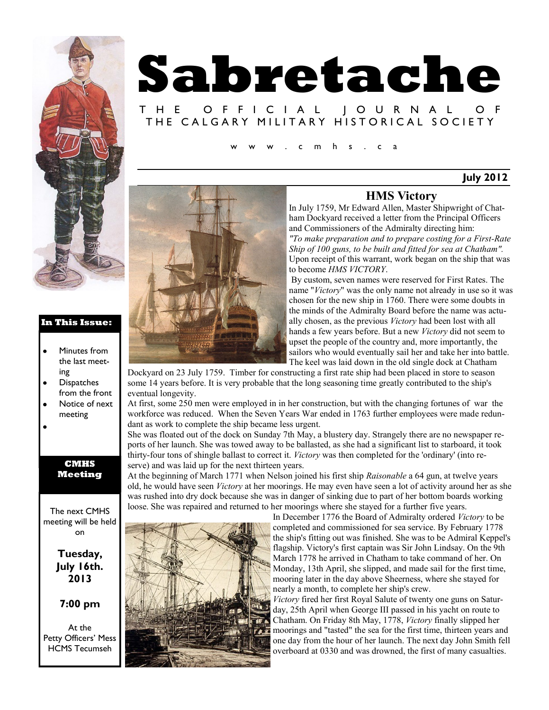

#### **In This Issue:**

- Minutes from the last meeting
- **Dispatches** from the front
- Notice of next meeting
- 

#### **CMHS Meeting**

The next CMHS meeting will be held on

### **Tuesday, July 16th. 2013**

#### **7:00 pm**

At the Petty Officers' Mess HCMS Tecumseh

# **Sabretache** T H E O F F I C I A L J O U R N A L THE CALGARY MILITARY HISTORICAL SOCIETY  $m$  h s . c a

**July 2012**

## **HMS Victory**

In July 1759, Mr Edward Allen, Master Shipwright of Chatham Dockyard received a letter from the Principal Officers and Commissioners of the Admiralty directing him: *"To make preparation and to prepare costing for a First-Rate Ship of 100 guns, to be built and fitted for sea at Chatham".*  Upon receipt of this warrant, work began on the ship that was to become *HMS VICTORY*.

By custom, seven names were reserved for First Rates. The name "*Victory*" was the only name not already in use so it was chosen for the new ship in 1760. There were some doubts in the minds of the Admiralty Board before the name was actually chosen, as the previous *Victory* had been lost with all hands a few years before. But a new *Victory* did not seem to upset the people of the country and, more importantly, the sailors who would eventually sail her and take her into battle. The keel was laid down in the old single dock at Chatham

Dockyard on 23 July 1759. Timber for constructing a first rate ship had been placed in store to season some 14 years before. It is very probable that the long seasoning time greatly contributed to the ship's eventual longevity.

At first, some 250 men were employed in in her construction, but with the changing fortunes of war the workforce was reduced. When the Seven Years War ended in 1763 further employees were made redundant as work to complete the ship became less urgent.

She was floated out of the dock on Sunday 7th May, a blustery day. Strangely there are no newspaper reports of her launch. She was towed away to be ballasted, as she had a significant list to starboard, it took thirty-four tons of shingle ballast to correct it. *Victory* was then completed for the 'ordinary' (into reserve) and was laid up for the next thirteen years.

At the beginning of March 1771 when Nelson joined his first ship *Raisonable* a 64 gun, at twelve years old, he would have seen *Victory* at her moorings. He may even have seen a lot of activity around her as she was rushed into dry dock because she was in danger of sinking due to part of her bottom boards working loose. She was repaired and returned to her moorings where she stayed for a further five years.



In December 1776 the Board of Admiralty ordered *Victory* to be completed and commissioned for sea service. By February 1778 the ship's fitting out was finished. She was to be Admiral Keppel's flagship. Victory's first captain was Sir John Lindsay. On the 9th March 1778 he arrived in Chatham to take command of her. On Monday, 13th April, she slipped, and made sail for the first time, mooring later in the day above Sheerness, where she stayed for nearly a month, to complete her ship's crew.

*Victory* fired her first Royal Salute of twenty one guns on Saturday, 25th April when George III passed in his yacht on route to Chatham. On Friday 8th May, 1778, *Victory* finally slipped her moorings and "tasted" the sea for the first time, thirteen years and one day from the hour of her launch. The next day John Smith fell overboard at 0330 and was drowned, the first of many casualties.

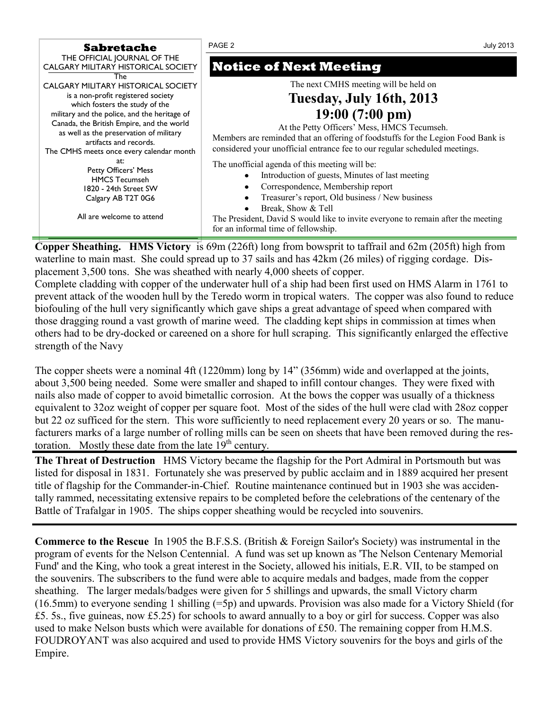| Sabretache                                                                                                                                                                                                                                                                                                                | PAGE 2                                                                                                                                                                                                                                                                                                                                     | July 2013 |
|---------------------------------------------------------------------------------------------------------------------------------------------------------------------------------------------------------------------------------------------------------------------------------------------------------------------------|--------------------------------------------------------------------------------------------------------------------------------------------------------------------------------------------------------------------------------------------------------------------------------------------------------------------------------------------|-----------|
| THE OFFICIAL JOURNAL OF THE<br>CALGARY MILITARY HISTORICAL SOCIETY<br>The                                                                                                                                                                                                                                                 | <b>Notice of Next Meeting</b>                                                                                                                                                                                                                                                                                                              |           |
| CALGARY MILITARY HISTORICAL SOCIETY<br>is a non-profit registered society<br>which fosters the study of the<br>military and the police, and the heritage of<br>Canada, the British Empire, and the world<br>as well as the preservation of military<br>artifacts and records.<br>The CMHS meets once every calendar month | The next CMHS meeting will be held on<br>Tuesday, July 16th, 2013<br>$19:00(7:00 \text{ pm})$<br>At the Petty Officers' Mess, HMCS Tecumseh.<br>Members are reminded that an offering of foodstuffs for the Legion Food Bank is<br>considered your unofficial entrance fee to our regular scheduled meetings.                              |           |
| at:<br>Petty Officers' Mess<br><b>HMCS Tecumseh</b><br>1820 - 24th Street SW<br>Calgary AB T2T 0G6<br>All are welcome to attend                                                                                                                                                                                           | The unofficial agenda of this meeting will be:<br>Introduction of guests, Minutes of last meeting<br>Correspondence, Membership report<br>Treasurer's report, Old business / New business<br>Break, Show & Tell<br>The President, David S would like to invite everyone to remain after the meeting<br>for an informal time of fellowship. |           |

**Copper Sheathing. HMS Victory** is 69m (226ft) long from bowsprit to taffrail and 62m (205ft) high from waterline to main mast. She could spread up to 37 sails and has 42km (26 miles) of rigging cordage. Displacement 3,500 tons. She was sheathed with nearly 4,000 sheets of copper.

Complete cladding with copper of the underwater hull of a ship had been first used on HMS Alarm in 1761 to prevent attack of the wooden hull by the Teredo worm in tropical waters. The copper was also found to reduce biofouling of the hull very significantly which gave ships a great advantage of speed when compared with those dragging round a vast growth of marine weed. The cladding kept ships in commission at times when others had to be dry-docked or careened on a shore for hull scraping. This significantly enlarged the effective strength of the Navy

The copper sheets were a nominal 4ft (1220mm) long by 14" (356mm) wide and overlapped at the joints, about 3,500 being needed. Some were smaller and shaped to infill contour changes. They were fixed with nails also made of copper to avoid bimetallic corrosion. At the bows the copper was usually of a thickness equivalent to 32oz weight of copper per square foot. Most of the sides of the hull were clad with 28oz copper but 22 oz sufficed for the stern. This wore sufficiently to need replacement every 20 years or so. The manufacturers marks of a large number of rolling mills can be seen on sheets that have been removed during the restoration. Mostly these date from the late  $19<sup>th</sup>$  century.

**The Threat of Destruction** HMS Victory became the flagship for the Port Admiral in Portsmouth but was listed for disposal in 1831. Fortunately she was preserved by public acclaim and in 1889 acquired her present title of flagship for the Commander-in-Chief. Routine maintenance continued but in 1903 she was accidentally rammed, necessitating extensive repairs to be completed before the celebrations of the centenary of the Battle of Trafalgar in 1905. The ships copper sheathing would be recycled into souvenirs.

**Commerce to the Rescue** In 1905 the B.F.S.S. (British & Foreign Sailor's Society) was instrumental in the program of events for the Nelson Centennial. A fund was set up known as 'The Nelson Centenary Memorial Fund' and the King, who took a great interest in the Society, allowed his initials, E.R. VII, to be stamped on the souvenirs. The subscribers to the fund were able to acquire medals and badges, made from the copper sheathing. The larger medals/badges were given for 5 shillings and upwards, the small Victory charm (16.5mm) to everyone sending 1 shilling (=5p) and upwards. Provision was also made for a Victory Shield (for £5. 5s., five guineas, now £5.25) for schools to award annually to a boy or girl for success. Copper was also used to make Nelson busts which were available for donations of £50. The remaining copper from H.M.S. FOUDROYANT was also acquired and used to provide HMS Victory souvenirs for the boys and girls of the Empire.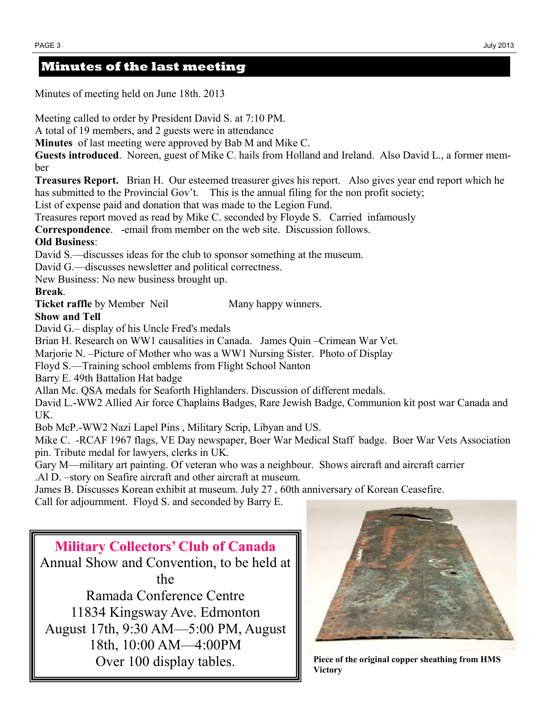# **Minutes of the last meeting**

Minutes of meeting held on June 18th. 2013

Meeting called to order by President David S. at 7:10 PM.

A total of 19 members, and 2 guests were in attendance

**Minutes** of last meeting were approved by Bab M and Mike C.

**Guests introduced**. Noreen, guest of Mike C. hails from Holland and Ireland. Also David L., a former member

**Treasures Report.** Brian H. Our esteemed treasurer gives his report. Also gives year end report which he has submitted to the Provincial Gov't. This is the annual filing for the non profit society;

List of expense paid and donation that was made to the Legion Fund.

Treasures report moved as read by Mike C. seconded by Floyde S. Carried infamously

**Correspondence**. -email from member on the web site. Discussion follows.

## **Old Business**:

David S.—discusses ideas for the club to sponsor something at the museum.

David G.—discusses newsletter and political correctness.

New Business: No new business brought up.

## **Break**.

**Ticket raffle** by Member Neil Many happy winners.

## **Show and Tell**

David G.– display of his Uncle Fred's medals

Brian H. Research on WW1 causalities in Canada. James Quin –Crimean War Vet.

Marjorie N. –Picture of Mother who was a WW1 Nursing Sister. Photo of Display

Floyd S.—Training school emblems from Flight School Nanton

Barry E. 49th Battalion Hat badge

Allan Mc. QSA medals for Seaforth Highlanders. Discussion of different medals.

David L.-WW2 Allied Air force Chaplains Badges, Rare Jewish Badge, Communion kit post war Canada and UK.

Bob McP.-WW2 Nazi Lapel Pins , Military Scrip, Libyan and US.

Mike C. -RCAF 1967 flags, VE Day newspaper, Boer War Medical Staff badge. Boer War Vets Association pin. Tribute medal for lawyers, clerks in UK.

Gary M—military art painting. Of veteran who was a neighbour. Shows aircraft and aircraft carrier .Al D. –story on Seafire aircraft and other aircraft at museum.

James B. Discusses Korean exhibit at museum. July 27 , 60th anniversary of Korean Ceasefire. Call for adjournment. Floyd S. and seconded by Barry E.

**Military Collectors' Club of Canada** Annual Show and Convention, to be held at the Ramada Conference Centre 11834 Kingsway Ave. Edmonton August 17th, 9:30 AM—5:00 PM, August 18th, 10:00 AM—4:00PM Over 100 display tables.



**Piece of the original copper sheathing from HMS Victory**